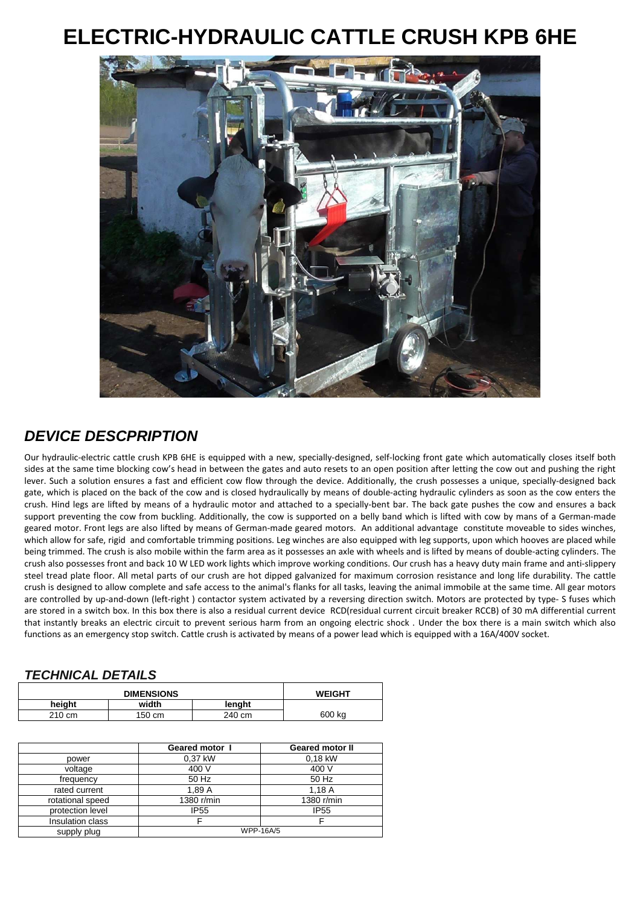## **ELECTRIC-HYDRAULIC CATTLE CRUSH KPB 6HE**



## **DEVICE DESCPRIPTION**

Our hydraulic-electric cattle crush KPB 6HE is equipped with a new, specially-designed, self-locking front gate which automatically closes itself both sides at the same time blocking cow's head in between the gates and auto resets to an open position after letting the cow out and pushing the right lever. Such a solution ensures a fast and efficient cow flow through the device. Additionally, the crush possesses a unique, specially-designed back gate, which is placed on the back of the cow and is closed hydraulically by means of double-acting hydraulic cylinders as soon as the cow enters the crush. Hind legs are lifted by means of a hydraulic motor and attached to a specially-bent bar. The back gate pushes the cow and ensures a back support preventing the cow from buckling. Additionally, the cow is supported on a belly band which is lifted with cow by mans of a German-made geared motor. Front legs are also lifted by means of German-made geared motors. An additional advantage constitute moveable to sides winches, which allow for safe, rigid and comfortable trimming positions. Leg winches are also equipped with leg supports, upon which hooves are placed while being trimmed. The crush is also mobile within the farm area as it possesses an axle with wheels and is lifted by means of double-acting cylinders. The crush also possesses front and back 10 W LED work lights which improve working conditions. Our crush has a heavy duty main frame and anti-slippery steel tread plate floor. All metal parts of our crush are hot dipped galvanized for maximum corrosion resistance and long life durability. The cattle crush is designed to allow complete and safe access to the animal's flanks for all tasks, leaving the animal immobile at the same time. All gear motors are controlled by up-and-down (left-right ) contactor system activated by a reversing direction switch. Motors are protected by type- S fuses which are stored in a switch box. In this box there is also a residual current device RCD(residual current circuit breaker RCCB) of 30 mA differential current that instantly breaks an electric circuit to prevent serious harm from an ongoing electric shock . Under the box there is a main switch which also functions as an emergency stop switch. Cattle crush is activated by means of a power lead which is equipped with a 16A/400V socket.

## **TECHNICAL DETAILS**

| <b>DIMENSIONS</b> |        |        | <b>WEIGHT</b> |
|-------------------|--------|--------|---------------|
| heiaht            | width  | lenght |               |
| 210 cm            | 150 cm | 240 cm | 600 kg        |

|                  | Geared motor I   | <b>Geared motor II</b> |
|------------------|------------------|------------------------|
| power            | 0.37 kW          | 0.18 kW                |
| voltage          | 400 V            | 400 V                  |
| frequency        | 50 Hz            | 50 Hz                  |
| rated current    | 1,89 A           | 1,18A                  |
| rotational speed | 1380 r/min       | 1380 r/min             |
| protection level | <b>IP55</b>      | <b>IP55</b>            |
| Insulation class |                  |                        |
| supply plug      | <b>WPP-16A/5</b> |                        |